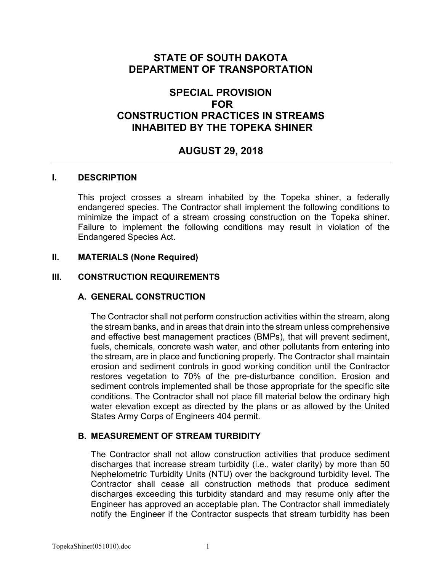# **STATE OF SOUTH DAKOTA DEPARTMENT OF TRANSPORTATION**

# **SPECIAL PROVISION FOR CONSTRUCTION PRACTICES IN STREAMS INHABITED BY THE TOPEKA SHINER**

# **AUGUST 29, 2018**

#### **I. DESCRIPTION**

This project crosses a stream inhabited by the Topeka shiner, a federally endangered species. The Contractor shall implement the following conditions to minimize the impact of a stream crossing construction on the Topeka shiner. Failure to implement the following conditions may result in violation of the Endangered Species Act.

#### **II. MATERIALS (None Required)**

#### **III. CONSTRUCTION REQUIREMENTS**

#### **A. GENERAL CONSTRUCTION**

The Contractor shall not perform construction activities within the stream, along the stream banks, and in areas that drain into the stream unless comprehensive and effective best management practices (BMPs), that will prevent sediment, fuels, chemicals, concrete wash water, and other pollutants from entering into the stream, are in place and functioning properly. The Contractor shall maintain erosion and sediment controls in good working condition until the Contractor restores vegetation to 70% of the pre-disturbance condition. Erosion and sediment controls implemented shall be those appropriate for the specific site conditions. The Contractor shall not place fill material below the ordinary high water elevation except as directed by the plans or as allowed by the United States Army Corps of Engineers 404 permit.

#### **B. MEASUREMENT OF STREAM TURBIDITY**

The Contractor shall not allow construction activities that produce sediment discharges that increase stream turbidity (i.e., water clarity) by more than 50 Nephelometric Turbidity Units (NTU) over the background turbidity level. The Contractor shall cease all construction methods that produce sediment discharges exceeding this turbidity standard and may resume only after the Engineer has approved an acceptable plan. The Contractor shall immediately notify the Engineer if the Contractor suspects that stream turbidity has been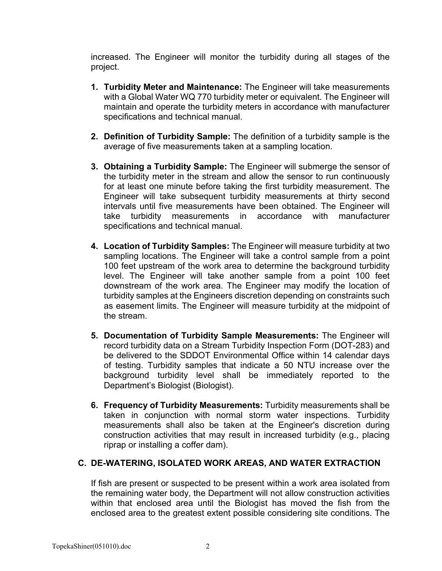increased. The Engineer will monitor the turbidity during all stages of the project.

- **1. Turbidity Meter and Maintenance:** The Engineer will take measurements with a Global Water WQ 770 turbidity meter or equivalent. The Engineer will maintain and operate the turbidity meters in accordance with manufacturer specifications and technical manual.
- **2. Definition of Turbidity Sample:** The definition of a turbidity sample is the average of five measurements taken at a sampling location.
- **3. Obtaining a Turbidity Sample:** The Engineer will submerge the sensor of the turbidity meter in the stream and allow the sensor to run continuously for at least one minute before taking the first turbidity measurement. The Engineer will take subsequent turbidity measurements at thirty second intervals until five measurements have been obtained. The Engineer will take turbidity measurements in accordance with manufacturer specifications and technical manual.
- **4. Location of Turbidity Samples:** The Engineer will measure turbidity at two sampling locations. The Engineer will take a control sample from a point 100 feet upstream of the work area to determine the background turbidity level. The Engineer will take another sample from a point 100 feet downstream of the work area. The Engineer may modify the location of turbidity samples at the Engineers discretion depending on constraints such as easement limits. The Engineer will measure turbidity at the midpoint of the stream.
- **5. Documentation of Turbidity Sample Measurements:** The Engineer will record turbidity data on a Stream Turbidity Inspection Form (DOT-283) and be delivered to the SDDOT Environmental Office within 14 calendar days of testing. Turbidity samples that indicate a 50 NTU increase over the background turbidity level shall be immediately reported to the Department's Biologist (Biologist).
- **6. Frequency of Turbidity Measurements:** Turbidity measurements shall be taken in conjunction with normal storm water inspections. Turbidity measurements shall also be taken at the Engineer's discretion during construction activities that may result in increased turbidity (e.g., placing riprap or installing a coffer dam).

#### **C. DE-WATERING, ISOLATED WORK AREAS, AND WATER EXTRACTION**

If fish are present or suspected to be present within a work area isolated from the remaining water body, the Department will not allow construction activities within that enclosed area until the Biologist has moved the fish from the enclosed area to the greatest extent possible considering site conditions. The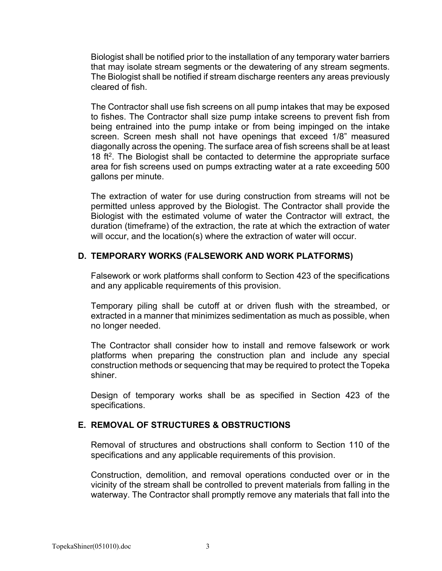Biologist shall be notified prior to the installation of any temporary water barriers that may isolate stream segments or the dewatering of any stream segments. The Biologist shall be notified if stream discharge reenters any areas previously cleared of fish.

The Contractor shall use fish screens on all pump intakes that may be exposed to fishes. The Contractor shall size pump intake screens to prevent fish from being entrained into the pump intake or from being impinged on the intake screen. Screen mesh shall not have openings that exceed 1/8" measured diagonally across the opening. The surface area of fish screens shall be at least 18 ft<sup>2</sup>. The Biologist shall be contacted to determine the appropriate surface area for fish screens used on pumps extracting water at a rate exceeding 500 gallons per minute.

The extraction of water for use during construction from streams will not be permitted unless approved by the Biologist. The Contractor shall provide the Biologist with the estimated volume of water the Contractor will extract, the duration (timeframe) of the extraction, the rate at which the extraction of water will occur, and the location(s) where the extraction of water will occur.

## **D. TEMPORARY WORKS (FALSEWORK AND WORK PLATFORMS)**

Falsework or work platforms shall conform to Section 423 of the specifications and any applicable requirements of this provision.

Temporary piling shall be cutoff at or driven flush with the streambed, or extracted in a manner that minimizes sedimentation as much as possible, when no longer needed.

The Contractor shall consider how to install and remove falsework or work platforms when preparing the construction plan and include any special construction methods or sequencing that may be required to protect the Topeka shiner.

Design of temporary works shall be as specified in Section 423 of the specifications.

#### **E. REMOVAL OF STRUCTURES & OBSTRUCTIONS**

Removal of structures and obstructions shall conform to Section 110 of the specifications and any applicable requirements of this provision.

Construction, demolition, and removal operations conducted over or in the vicinity of the stream shall be controlled to prevent materials from falling in the waterway. The Contractor shall promptly remove any materials that fall into the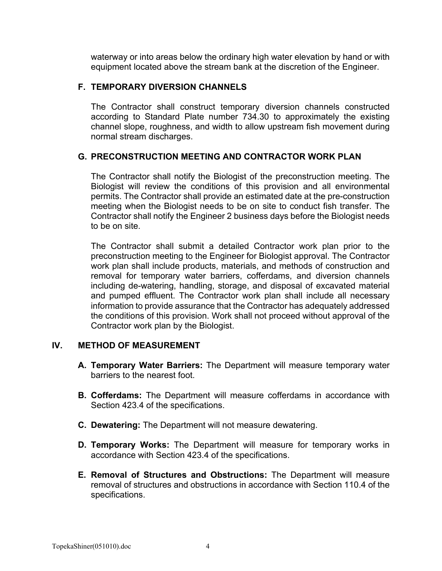waterway or into areas below the ordinary high water elevation by hand or with equipment located above the stream bank at the discretion of the Engineer.

#### **F. TEMPORARY DIVERSION CHANNELS**

The Contractor shall construct temporary diversion channels constructed according to Standard Plate number 734.30 to approximately the existing channel slope, roughness, and width to allow upstream fish movement during normal stream discharges.

## **G. PRECONSTRUCTION MEETING AND CONTRACTOR WORK PLAN**

The Contractor shall notify the Biologist of the preconstruction meeting. The Biologist will review the conditions of this provision and all environmental permits. The Contractor shall provide an estimated date at the pre-construction meeting when the Biologist needs to be on site to conduct fish transfer. The Contractor shall notify the Engineer 2 business days before the Biologist needs to be on site.

The Contractor shall submit a detailed Contractor work plan prior to the preconstruction meeting to the Engineer for Biologist approval. The Contractor work plan shall include products, materials, and methods of construction and removal for temporary water barriers, cofferdams, and diversion channels including de-watering, handling, storage, and disposal of excavated material and pumped effluent. The Contractor work plan shall include all necessary information to provide assurance that the Contractor has adequately addressed the conditions of this provision. Work shall not proceed without approval of the Contractor work plan by the Biologist.

#### **IV. METHOD OF MEASUREMENT**

- **A. Temporary Water Barriers:** The Department will measure temporary water barriers to the nearest foot.
- **B. Cofferdams:** The Department will measure cofferdams in accordance with Section 423.4 of the specifications.
- **C. Dewatering:** The Department will not measure dewatering.
- **D. Temporary Works:** The Department will measure for temporary works in accordance with Section 423.4 of the specifications.
- **E. Removal of Structures and Obstructions:** The Department will measure removal of structures and obstructions in accordance with Section 110.4 of the specifications.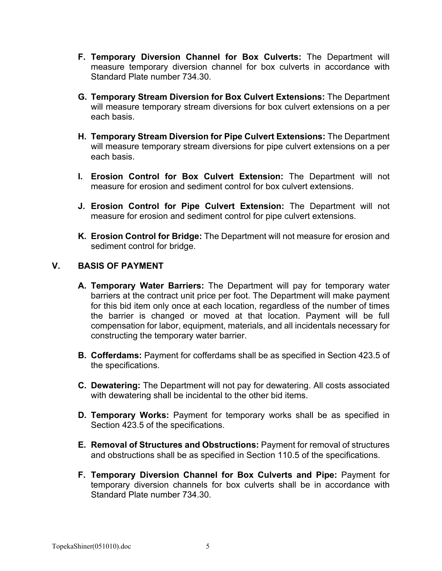- **F. Temporary Diversion Channel for Box Culverts:** The Department will measure temporary diversion channel for box culverts in accordance with Standard Plate number 734.30.
- **G. Temporary Stream Diversion for Box Culvert Extensions:** The Department will measure temporary stream diversions for box culvert extensions on a per each basis.
- **H. Temporary Stream Diversion for Pipe Culvert Extensions:** The Department will measure temporary stream diversions for pipe culvert extensions on a per each basis.
- **I. Erosion Control for Box Culvert Extension:** The Department will not measure for erosion and sediment control for box culvert extensions.
- **J. Erosion Control for Pipe Culvert Extension:** The Department will not measure for erosion and sediment control for pipe culvert extensions.
- **K. Erosion Control for Bridge:** The Department will not measure for erosion and sediment control for bridge.

## **V. BASIS OF PAYMENT**

- **A. Temporary Water Barriers:** The Department will pay for temporary water barriers at the contract unit price per foot. The Department will make payment for this bid item only once at each location, regardless of the number of times the barrier is changed or moved at that location. Payment will be full compensation for labor, equipment, materials, and all incidentals necessary for constructing the temporary water barrier.
- **B. Cofferdams:** Payment for cofferdams shall be as specified in Section 423.5 of the specifications.
- **C. Dewatering:** The Department will not pay for dewatering. All costs associated with dewatering shall be incidental to the other bid items.
- **D. Temporary Works:** Payment for temporary works shall be as specified in Section 423.5 of the specifications.
- **E. Removal of Structures and Obstructions:** Payment for removal of structures and obstructions shall be as specified in Section 110.5 of the specifications.
- **F. Temporary Diversion Channel for Box Culverts and Pipe:** Payment for temporary diversion channels for box culverts shall be in accordance with Standard Plate number 734.30.